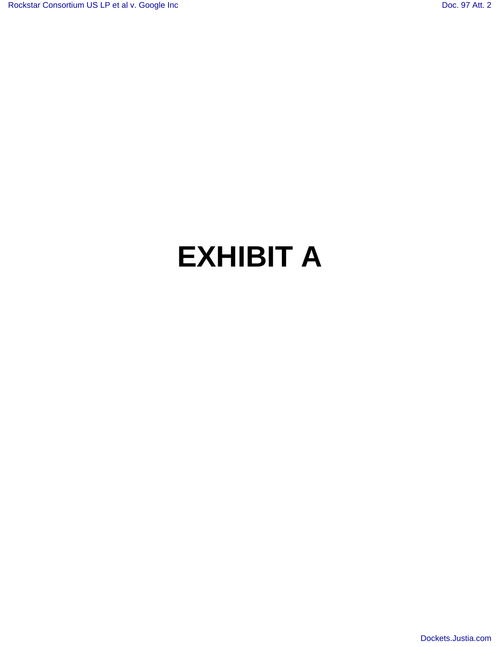# **EXHIBIT A**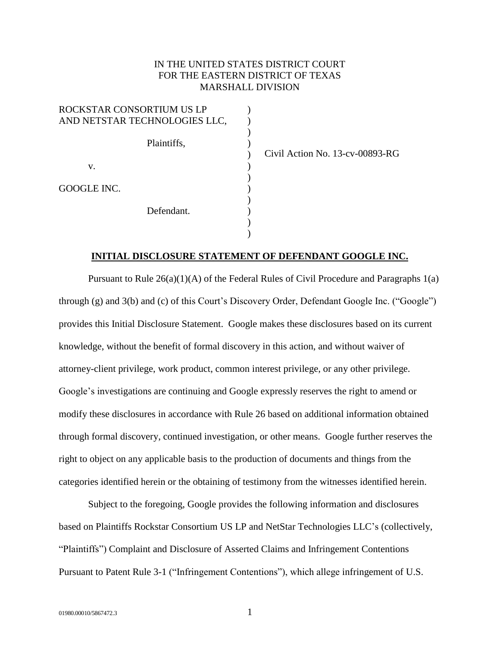### IN THE UNITED STATES DISTRICT COURT FOR THE EASTERN DISTRICT OF TEXAS MARSHALL DIVISION

| ROCKSTAR CONSORTIUM US LP<br>AND NETSTAR TECHNOLOGIES LLC, |  |
|------------------------------------------------------------|--|
| Plaintiffs,                                                |  |
| V.                                                         |  |
| GOOGLE INC.                                                |  |
| Defendant.                                                 |  |
|                                                            |  |

Civil Action No. 13-cv-00893-RG

#### **INITIAL DISCLOSURE STATEMENT OF DEFENDANT GOOGLE INC.**

Pursuant to Rule  $26(a)(1)(A)$  of the Federal Rules of Civil Procedure and Paragraphs  $1(a)$ through (g) and 3(b) and (c) of this Court's Discovery Order, Defendant Google Inc. ("Google") provides this Initial Disclosure Statement. Google makes these disclosures based on its current knowledge, without the benefit of formal discovery in this action, and without waiver of attorney-client privilege, work product, common interest privilege, or any other privilege. Google's investigations are continuing and Google expressly reserves the right to amend or modify these disclosures in accordance with Rule 26 based on additional information obtained through formal discovery, continued investigation, or other means. Google further reserves the right to object on any applicable basis to the production of documents and things from the categories identified herein or the obtaining of testimony from the witnesses identified herein.

Subject to the foregoing, Google provides the following information and disclosures based on Plaintiffs Rockstar Consortium US LP and NetStar Technologies LLC's (collectively, "Plaintiffs") Complaint and Disclosure of Asserted Claims and Infringement Contentions Pursuant to Patent Rule 3-1 ("Infringement Contentions"), which allege infringement of U.S.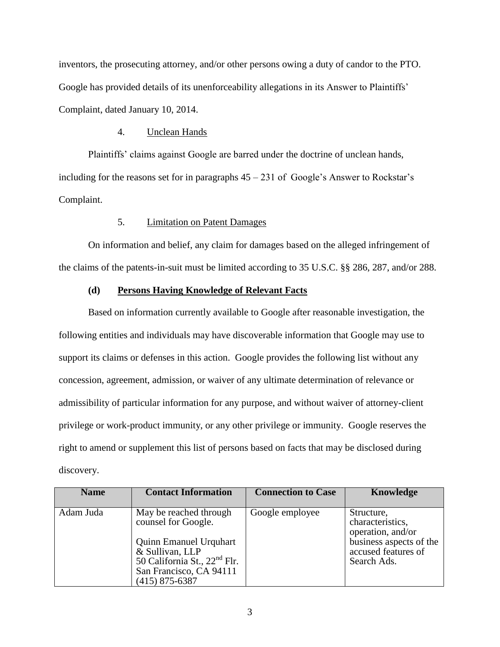inventors, the prosecuting attorney, and/or other persons owing a duty of candor to the PTO. Google has provided details of its unenforceability allegations in its Answer to Plaintiffs' Complaint, dated January 10, 2014.

#### 4. Unclean Hands

Plaintiffs' claims against Google are barred under the doctrine of unclean hands, including for the reasons set for in paragraphs  $45 - 231$  of Google's Answer to Rockstar's Complaint.

## 5. Limitation on Patent Damages

On information and belief, any claim for damages based on the alleged infringement of the claims of the patents-in-suit must be limited according to 35 U.S.C. §§ 286, 287, and/or 288.

## **(d) Persons Having Knowledge of Relevant Facts**

Based on information currently available to Google after reasonable investigation, the following entities and individuals may have discoverable information that Google may use to support its claims or defenses in this action. Google provides the following list without any concession, agreement, admission, or waiver of any ultimate determination of relevance or admissibility of particular information for any purpose, and without waiver of attorney-client privilege or work-product immunity, or any other privilege or immunity. Google reserves the right to amend or supplement this list of persons based on facts that may be disclosed during discovery.

| <b>Name</b> | <b>Contact Information</b>                                                                                                                                                                   | <b>Connection to Case</b> | <b>Knowledge</b>                                                                                                     |
|-------------|----------------------------------------------------------------------------------------------------------------------------------------------------------------------------------------------|---------------------------|----------------------------------------------------------------------------------------------------------------------|
| Adam Juda   | May be reached through<br>counsel for Google.<br><b>Quinn Emanuel Urquhart</b><br>& Sullivan, LLP<br>50 California St., 22 <sup>nd</sup> Flr.<br>San Francisco, CA 94111<br>$(415)$ 875-6387 | Google employee           | Structure,<br>characteristics,<br>operation, and/or<br>business aspects of the<br>accused features of<br>Search Ads. |

3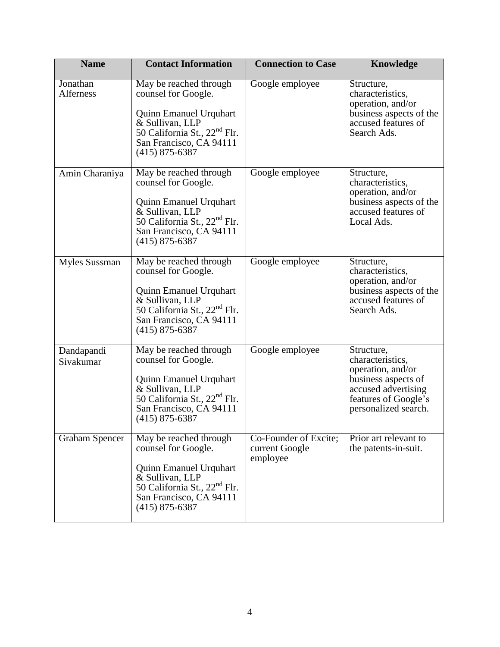| <b>Name</b>                  | <b>Contact Information</b>                                                                                                                                                                   | <b>Connection to Case</b>                           | <b>Knowledge</b>                                                                                                                                  |
|------------------------------|----------------------------------------------------------------------------------------------------------------------------------------------------------------------------------------------|-----------------------------------------------------|---------------------------------------------------------------------------------------------------------------------------------------------------|
| Jonathan<br><b>Alferness</b> | May be reached through<br>counsel for Google.<br>Quinn Emanuel Urquhart<br>& Sullivan, LLP<br>50 California St., 22 <sup>nd</sup> Flr.<br>San Francisco, CA 94111<br>$(415)$ 875-6387        | Google employee                                     | Structure,<br>characteristics,<br>operation, and/or<br>business aspects of the<br>accused features of<br>Search Ads.                              |
| Amin Charaniya               | May be reached through<br>counsel for Google.<br><b>Quinn Emanuel Urquhart</b><br>& Sullivan, LLP<br>50 California St., 22 <sup>nd</sup> Flr.<br>San Francisco, CA 94111<br>$(415)$ 875-6387 | Google employee                                     | Structure,<br>characteristics,<br>operation, and/or<br>business aspects of the<br>accused features of<br>Local Ads.                               |
| Myles Sussman                | May be reached through<br>counsel for Google.<br><b>Quinn Emanuel Urquhart</b><br>& Sullivan, LLP<br>50 California St., 22 <sup>nd</sup> Flr.<br>San Francisco, CA 94111<br>$(415)$ 875-6387 | Google employee                                     | Structure,<br>characteristics,<br>operation, and/or<br>business aspects of the<br>accused features of<br>Search Ads.                              |
| Dandapandi<br>Sivakumar      | May be reached through<br>counsel for Google.<br><b>Quinn Emanuel Urquhart</b><br>& Sullivan, LLP<br>50 California St., 22 <sup>nd</sup> Flr.<br>San Francisco, CA 94111<br>$(415)$ 875-6387 | Google employee                                     | Structure,<br>characteristics,<br>operation, and/or<br>business aspects of<br>accused advertising<br>features of Google's<br>personalized search. |
| <b>Graham Spencer</b>        | May be reached through<br>counsel for Google.<br><b>Quinn Emanuel Urquhart</b><br>& Sullivan, LLP<br>50 California St., 22 <sup>nd</sup> Flr.<br>San Francisco, CA 94111<br>$(415)$ 875-6387 | Co-Founder of Excite;<br>current Google<br>employee | Prior art relevant to<br>the patents-in-suit.                                                                                                     |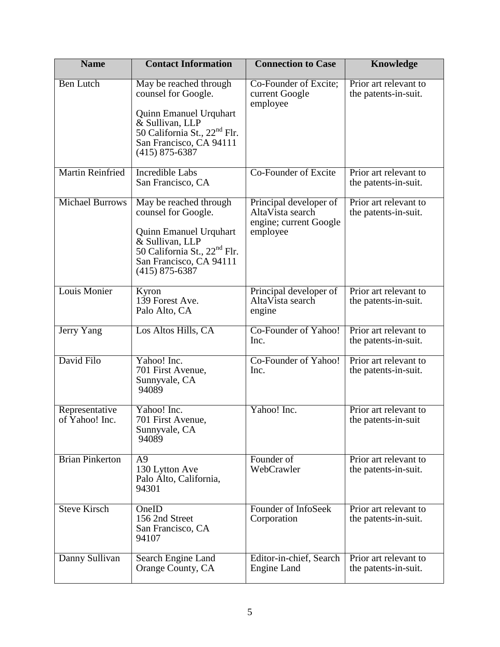| <b>Name</b>                      | <b>Contact Information</b>                                                                                                                                                                   | <b>Connection to Case</b>                                                        | Knowledge                                     |
|----------------------------------|----------------------------------------------------------------------------------------------------------------------------------------------------------------------------------------------|----------------------------------------------------------------------------------|-----------------------------------------------|
| <b>Ben Lutch</b>                 | May be reached through<br>counsel for Google.<br><b>Quinn Emanuel Urquhart</b><br>& Sullivan, LLP<br>50 California St., 22 <sup>nd</sup> Flr.<br>San Francisco, CA 94111<br>$(415)$ 875-6387 | Co-Founder of Excite;<br>current Google<br>employee                              | Prior art relevant to<br>the patents-in-suit. |
| <b>Martin Reinfried</b>          | <b>Incredible Labs</b><br>San Francisco, CA                                                                                                                                                  | Co-Founder of Excite                                                             | Prior art relevant to<br>the patents-in-suit. |
| <b>Michael Burrows</b>           | May be reached through<br>counsel for Google.<br><b>Quinn Emanuel Urquhart</b><br>& Sullivan, LLP<br>50 California St., 22 <sup>nd</sup> Flr.<br>San Francisco, CA 94111<br>$(415)$ 875-6387 | Principal developer of<br>AltaVista search<br>engine; current Google<br>employee | Prior art relevant to<br>the patents-in-suit. |
| <b>Louis Monier</b>              | Kyron<br>139 Forest Ave.<br>Palo Alto, CA                                                                                                                                                    | Principal developer of<br>AltaVista search<br>engine                             | Prior art relevant to<br>the patents-in-suit. |
| Jerry Yang                       | Los Altos Hills, CA                                                                                                                                                                          | Co-Founder of Yahoo!<br>Inc.                                                     | Prior art relevant to<br>the patents-in-suit. |
| David Filo                       | Yahoo! Inc.<br>701 First Avenue,<br>Sunnyvale, CA<br>94089                                                                                                                                   | Co-Founder of Yahoo!<br>Inc.                                                     | Prior art relevant to<br>the patents-in-suit. |
| Representative<br>of Yahoo! Inc. | Yahoo! Inc.<br>701 First Avenue,<br>Sunnyvale, CA<br>94089                                                                                                                                   | Yahoo! Inc.                                                                      | Prior art relevant to<br>the patents-in-suit  |
| <b>Brian Pinkerton</b>           | A <sub>9</sub><br>130 Lytton Ave<br>Palo Alto, California,<br>94301                                                                                                                          | Founder of<br>WebCrawler                                                         | Prior art relevant to<br>the patents-in-suit. |
| <b>Steve Kirsch</b>              | OneID<br>156 2nd Street<br>San Francisco, CA<br>94107                                                                                                                                        | Founder of InfoSeek<br>Corporation                                               | Prior art relevant to<br>the patents-in-suit. |
| Danny Sullivan                   | Search Engine Land<br>Orange County, CA                                                                                                                                                      | Editor-in-chief, Search<br>Engine Land                                           | Prior art relevant to<br>the patents-in-suit. |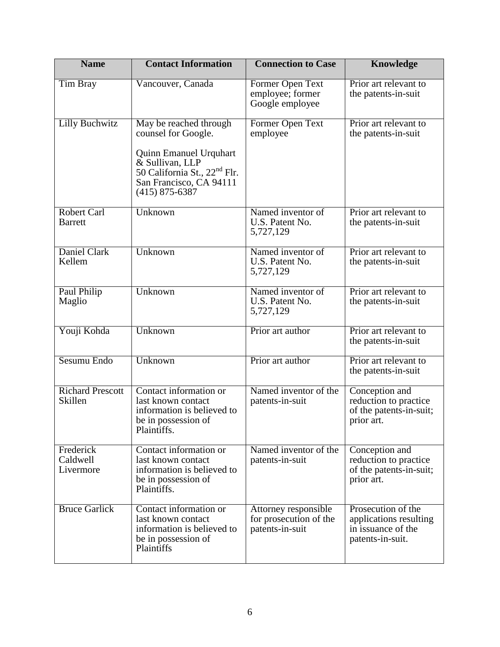| <b>Name</b>                          | <b>Contact Information</b>                                                                                                                                                                   | <b>Connection to Case</b>                                         | Knowledge                                                                              |
|--------------------------------------|----------------------------------------------------------------------------------------------------------------------------------------------------------------------------------------------|-------------------------------------------------------------------|----------------------------------------------------------------------------------------|
| <b>Tim Bray</b>                      | Vancouver, Canada                                                                                                                                                                            | Former Open Text<br>employee; former<br>Google employee           | Prior art relevant to<br>the patents-in-suit                                           |
| <b>Lilly Buchwitz</b>                | May be reached through<br>counsel for Google.<br><b>Quinn Emanuel Urquhart</b><br>& Sullivan, LLP<br>50 California St., 22 <sup>nd</sup> Flr.<br>San Francisco, CA 94111<br>$(415)$ 875-6387 | Former Open Text<br>employee                                      | Prior art relevant to<br>the patents-in-suit                                           |
| <b>Robert Carl</b><br><b>Barrett</b> | Unknown                                                                                                                                                                                      | Named inventor of<br>U.S. Patent No.<br>5,727,129                 | Prior art relevant to<br>the patents-in-suit                                           |
| Daniel Clark<br>Kellem               | Unknown                                                                                                                                                                                      | Named inventor of<br>U.S. Patent No.<br>5,727,129                 | Prior art relevant to<br>the patents-in-suit                                           |
| Paul Philip<br>Maglio                | Unknown                                                                                                                                                                                      | Named inventor of<br>U.S. Patent No.<br>5,727,129                 | Prior art relevant to<br>the patents-in-suit                                           |
| Youji Kohda                          | Unknown                                                                                                                                                                                      | Prior art author                                                  | Prior art relevant to<br>the patents-in-suit                                           |
| Sesumu Endo                          | Unknown                                                                                                                                                                                      | Prior art author                                                  | Prior art relevant to<br>the patents-in-suit                                           |
| <b>Richard Prescott</b><br>Skillen   | Contact information or<br>last known contact<br>information is believed to<br>be in possession of<br>Plaintiffs.                                                                             | Named inventor of the<br>patents-in-suit                          | Conception and<br>reduction to practice<br>of the patents-in-suit;<br>prior art.       |
| Frederick<br>Caldwell<br>Livermore   | Contact information or<br>last known contact<br>information is believed to<br>be in possession of<br>Plaintiffs.                                                                             | Named inventor of the<br>patents-in-suit                          | Conception and<br>reduction to practice<br>of the patents-in-suit;<br>prior art.       |
| <b>Bruce Garlick</b>                 | Contact information or<br>last known contact<br>information is believed to<br>be in possession of<br>Plaintiffs                                                                              | Attorney responsible<br>for prosecution of the<br>patents-in-suit | Prosecution of the<br>applications resulting<br>in issuance of the<br>patents-in-suit. |